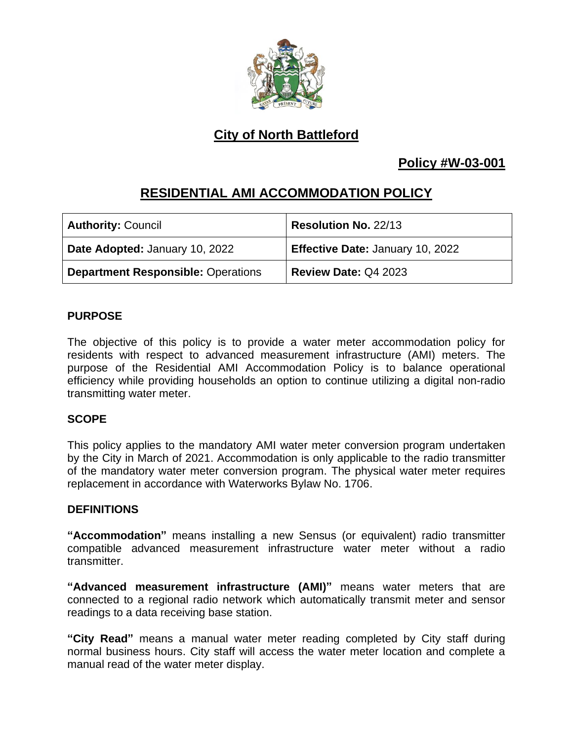

# **City of North Battleford**

### **Policy #W-03-001**

## **RESIDENTIAL AMI ACCOMMODATION POLICY**

| <b>Authority: Council</b>                 | Resolution No. 22/13             |
|-------------------------------------------|----------------------------------|
| Date Adopted: January 10, 2022            | Effective Date: January 10, 2022 |
| <b>Department Responsible: Operations</b> | Review Date: Q4 2023             |

#### **PURPOSE**

The objective of this policy is to provide a water meter accommodation policy for residents with respect to advanced measurement infrastructure (AMI) meters. The purpose of the Residential AMI Accommodation Policy is to balance operational efficiency while providing households an option to continue utilizing a digital non-radio transmitting water meter.

### **SCOPE**

This policy applies to the mandatory AMI water meter conversion program undertaken by the City in March of 2021. Accommodation is only applicable to the radio transmitter of the mandatory water meter conversion program. The physical water meter requires replacement in accordance with Waterworks Bylaw No. 1706.

#### **DEFINITIONS**

**"Accommodation"** means installing a new Sensus (or equivalent) radio transmitter compatible advanced measurement infrastructure water meter without a radio transmitter.

**"Advanced measurement infrastructure (AMI)"** means water meters that are connected to a regional radio network which automatically transmit meter and sensor readings to a data receiving base station.

**"City Read"** means a manual water meter reading completed by City staff during normal business hours. City staff will access the water meter location and complete a manual read of the water meter display.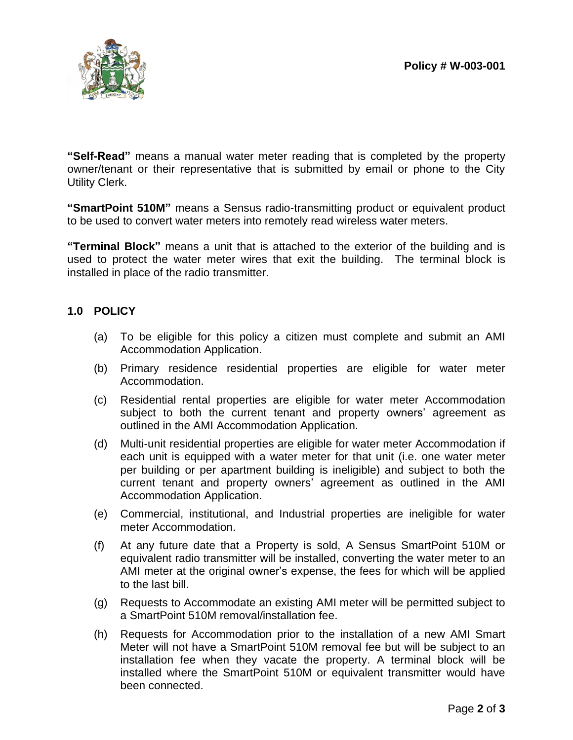

**"Self-Read"** means a manual water meter reading that is completed by the property owner/tenant or their representative that is submitted by email or phone to the City Utility Clerk.

**"SmartPoint 510M"** means a Sensus radio-transmitting product or equivalent product to be used to convert water meters into remotely read wireless water meters.

**"Terminal Block"** means a unit that is attached to the exterior of the building and is used to protect the water meter wires that exit the building. The terminal block is installed in place of the radio transmitter.

#### **1.0 POLICY**

- (a) To be eligible for this policy a citizen must complete and submit an AMI Accommodation Application.
- (b) Primary residence residential properties are eligible for water meter Accommodation.
- (c) Residential rental properties are eligible for water meter Accommodation subject to both the current tenant and property owners' agreement as outlined in the AMI Accommodation Application.
- (d) Multi-unit residential properties are eligible for water meter Accommodation if each unit is equipped with a water meter for that unit (i.e. one water meter per building or per apartment building is ineligible) and subject to both the current tenant and property owners' agreement as outlined in the AMI Accommodation Application.
- (e) Commercial, institutional, and Industrial properties are ineligible for water meter Accommodation.
- (f) At any future date that a Property is sold, A Sensus SmartPoint 510M or equivalent radio transmitter will be installed, converting the water meter to an AMI meter at the original owner's expense, the fees for which will be applied to the last bill.
- (g) Requests to Accommodate an existing AMI meter will be permitted subject to a SmartPoint 510M removal/installation fee.
- (h) Requests for Accommodation prior to the installation of a new AMI Smart Meter will not have a SmartPoint 510M removal fee but will be subject to an installation fee when they vacate the property. A terminal block will be installed where the SmartPoint 510M or equivalent transmitter would have been connected.